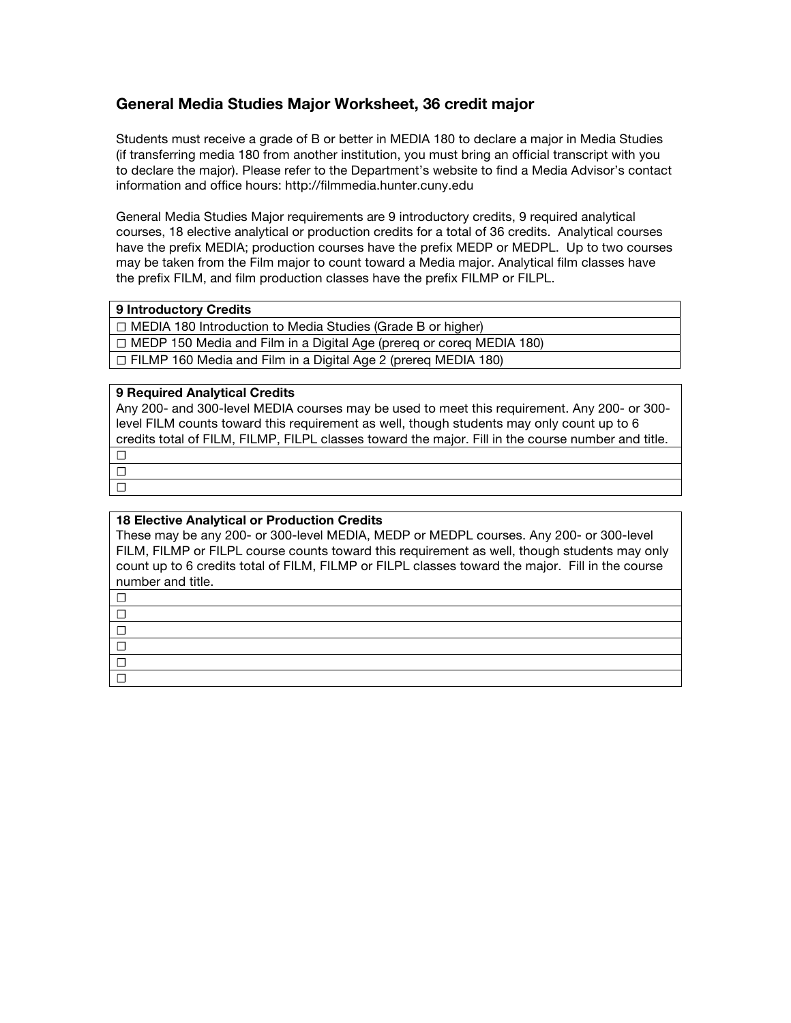# **General Media Studies Major Worksheet, 36 credit major**

Students must receive a grade of B or better in MEDIA 180 to declare a major in Media Studies (if transferring media 180 from another institution, you must bring an official transcript with you to declare the major). Please refer to the Department's website to find a Media Advisor's contact information and office hours: http://filmmedia.hunter.cuny.edu

General Media Studies Major requirements are 9 introductory credits, 9 required analytical courses, 18 elective analytical or production credits for a total of 36 credits. Analytical courses have the prefix MEDIA; production courses have the prefix MEDP or MEDPL. Up to two courses may be taken from the Film major to count toward a Media major. Analytical film classes have the prefix FILM, and film production classes have the prefix FILMP or FILPL.

## **9 Introductory Credits**

☐ MEDIA 180 Introduction to Media Studies (Grade B or higher)

☐ MEDP 150 Media and Film in a Digital Age (prereq or coreq MEDIA 180)

☐ FILMP 160 Media and Film in a Digital Age 2 (prereq MEDIA 180)

## **9 Required Analytical Credits**

Any 200- and 300-level MEDIA courses may be used to meet this requirement. Any 200- or 300 level FILM counts toward this requirement as well, though students may only count up to 6 credits total of FILM, FILMP, FILPL classes toward the major. Fill in the course number and title.

☐ ☐ ☐ ☐ ☐ ☐

## **18 Elective Analytical or Production Credits**

These may be any 200- or 300-level MEDIA, MEDP or MEDPL courses. Any 200- or 300-level FILM, FILMP or FILPL course counts toward this requirement as well, though students may only count up to 6 credits total of FILM, FILMP or FILPL classes toward the major. Fill in the course number and title.